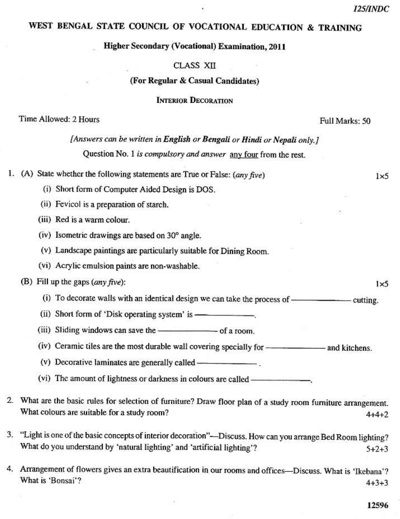$1\times 5$ 

 $1\times 5$ 

# WEST BENGAL STATE COUNCIL OF VOCATIONAL EDUCATION & TRAINING

### **Higher Secondary (Vocational) Examination, 2011**

## **CLASS XII**

# (For Regular & Casual Candidates)

**INTERIOR DECORATION** 

## Time Allowed: 2 Hours

### Full Marks: 50

[Answers can be written in English or Bengali or Hindi or Nepali only.] Question No. 1 is compulsory and answer any four from the rest.

1. (A) State whether the following statements are True or False:  $(\text{any five})$ 

(i) Short form of Computer Aided Design is DOS.

(ii) Fevicol is a preparation of starch.

(iii) Red is a warm colour.

(iv) Isometric drawings are based on 30° angle.

(v) Landscape paintings are particularly suitable for Dining Room.

(vi) Acrylic emulsion paints are non-washable.

# (B) Fill up the gaps  $(any \text{ five})$ :

(i) To decorate walls with an identical design we can take the process of  $\frac{1}{\sqrt{1-\frac{1}{\sqrt{1-\frac{1}{\sqrt{1-\frac{1}{\sqrt{1-\frac{1}{\sqrt{1-\frac{1}{\sqrt{1-\frac{1}{\sqrt{1-\frac{1}{\sqrt{1-\frac{1}{\sqrt{1-\frac{1}{\sqrt{1-\frac{1}{\sqrt{1-\frac{1}{\sqrt{1-\frac{1}{\sqrt{1-\frac{1}{\sqrt{1-\frac{1}{\sqrt{1-\frac{1}{\sqrt{1-\frac$ 

(ii) Short form of 'Disk operating system' is —

(v) Decorative laminates are generally called ——————————————————————————————————

- 2. What are the basic rules for selection of furniture? Draw floor plan of a study room furniture arrangement. What colours are suitable for a study room?  $4 + 4 + 2$
- 3. "Light is one of the basic concepts of interior decoration"—Discuss. How can you arrange Bed Room lighting? What do you understand by 'natural lighting' and 'artificial lighting'?  $5 + 2 + 3$
- 4. Arrangement of flowers gives an extra beautification in our rooms and offices—Discuss. What is 'Ikebana'? What is 'Bonsai'?  $4 + 3 + 3$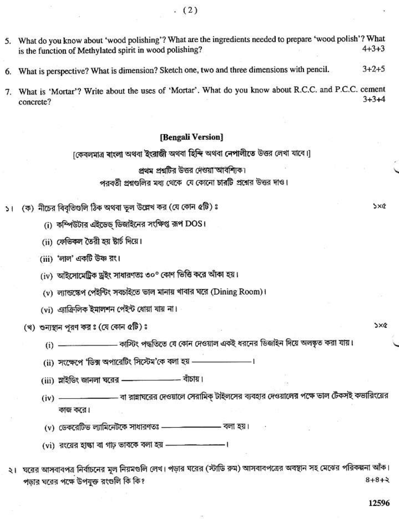- 5. What do you know about 'wood polishing'? What are the ingredients needed to prepare 'wood polish'? What is the function of Methylated spirit in wood polishing?  $4 + 3 + 3$
- 6. What is perspective? What is dimension? Sketch one, two and three dimensions with pencil.  $3 + 2 + 5$
- 7. What is 'Mortar'? Write about the uses of 'Mortar'. What do you know about R.C.C. and P.C.C. cement  $3 + 3 + 4$ concrete?

#### [Bengali Version]

[কেবলমাত্র ৰাংলা অথবা ইংরাজী অথবা হিন্দি অথবা নেপালীতে উত্তর লেখা যাবে।]

#### প্রথম প্রশ্নটির উত্তর দেওয়া আবশ্যিক।

পরবর্তী প্রশ্নগুলির মধ্য থেকে যে কোনো চারটি প্রশ্নের উত্তর দাও।

- (ক) নীচের বিবৃতিগুলি ঠিক অথবা ভুল উল্লেখ কর (যে কোন ৫টি) ঃ  $\geq 1$ 
	- (i) কম্পিউটার এইডেড ডিজাইনের সংক্ষিপ্ত রূপ DOS।
	- (ii) ফেভিকল তৈরী হয় ষ্টার্চ দিয়ে।
	- (iii) 'লাল' একটি উষ্ণ রং।
	- (iv) আইসোমেট্রিক ড্রইং সাধারণতঃ ৩০° কোণ ভিত্তি করে আঁকা হয়।
	- (v) ল্যান্ডস্কেপ পেইন্টিং সবচাইতে ভাল মানায় খাবার ঘরে (Dining Room)।
	- (vi) এ্যাক্রিলিক ইমালশন পেইন্ট ধোয়া যায় না।

(খ) শুন্যস্থান পুরণ কর ঃ (যে কোন ৫টি) ঃ

- \_\_\_\_\_\_\_\_\_ কাস্টিং পদ্ধতিতে যে কোন দেওয়াল একই ধরনের ডিজাইন দিয়ে অলঙ্কৃত করা যায়।  $(i)$  —
- (ii) সংক্ষেপে 'ডিক্স অপারেটিং সিস্টেম'কে বলা হয় ————————।
- (iii) স্লাইডিং জানলা ঘরের –––––––––––––– বাঁচায়।
- ————— বা রান্নাঘরের দেওয়ালে সেরামিক্ টাইলসের ব্যবহার দেওয়ালের পক্ষে ভাল টেকসই কভারিংয়ের  $(iv)$  — কাজ করে।
- (v) ডেকরেটিভ ল্যামিনেটকে সাধারণতঃ  **– – – –** বলা হয়।
- (vi) রংয়ের হান্ধা বা গাঢ় ভাবকে বলা হয় - - - - -
- ২। ঘরের আসবাবপত্র নির্বাচনের মূল নিয়মগুলি লেখ। পড়ার ঘরের (স্টাডি রুম) আসবাবপত্রের অবস্থান সহ মেঝের পরিকল্পনা আঁক। পডার ঘরের পক্ষে উপযুক্ত রংগুলি কি কি?  $8 + 8 + 3$

 $5x$ 

 $5x$